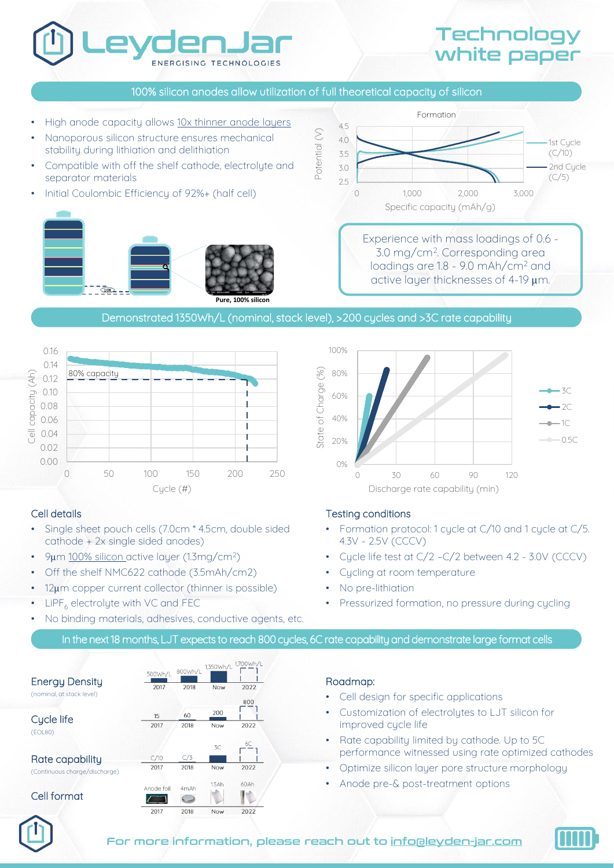# **TECHNOLOGIES**

# **Technology** white paper

#### 100% silicon anodes allow utilization of full theoretical capacity of silicon

- High anode capacity allows 10x thinner anode layers
- Nanoporous silicon structure ensures mechanical stability during lithiation and delithiation
- Compatible with off the shelf cathode, electrolyte and separator materials
- Initial Coulombic Efficiency of 92%+ (half cell)





Experience with mass loadings of 0.6 - 3.0 mg/cm<sup>2</sup> . Corresponding area loadings are 1.8 - 9.0 mAh/cm<sup>2</sup> and active layer thicknesses of 4-19 μm.

#### Demonstrated 1350Wh/L (nominal, stack level), >200 cycles and >3C rate capability



#### Cell details

- Single sheet pouch cells (7.0cm \* 4.5cm, double sided cathode + 2x single sided anodes)
- 9μm 100% silicon active layer (1.3mg/cm<sup>2</sup>)
- Off the shelf NMC622 cathode (3.5mAh/cm2)
- 12μm copper current collector (thinner is possible)
- $LIPF<sub>6</sub>$  electrolyte with VC and FEC
- No binding materials, adhesives, conductive agents, etc.



#### Testing conditions

- Formation protocol: 1 cycle at C/10 and 1 cycle at C/5. 4.3V - 2.5V (CCCV)
- Cycle life test at C/2 –C/2 between 4.2 3.0V (CCCV)
- Cycling at room temperature
- No pre-lithiation
- Pressurized formation, no pressure during cycling

#### In the next 18 months, LJT expects to reach 800 cucles, 6C rate capability and demonstrate large format cells

|                                                    | 500Wh/L    | 800Wh/L | 1,350Wh/L  | 1,700Wh/L   |
|----------------------------------------------------|------------|---------|------------|-------------|
| <b>Energy Density</b><br>(nominal, at stack level) | 2017       | 2018    | <b>Now</b> | 2022<br>800 |
| Cycle life<br>(EOL80)                              | 15         | 60      | 200        |             |
|                                                    | 2017       | 2018    | Now        | 2022        |
|                                                    |            |         | 3C         | 6C          |
| Rate capability                                    | C/10       | C/3     |            |             |
| (Continuous charge/discharge)                      | 2017       | 2018    | Now        | 2022        |
| Cell format                                        | Anode foil | 4mAh    | 1.5Ah      | 60Ah        |
|                                                    |            |         |            |             |
|                                                    | 2017       | 2018    | <b>Now</b> | 2022        |

#### Roadmap:

- Cell design for specific applications
- Customization of electrolutes to LJT silicon for improved cycle life
- Rate capability limited by cathode. Up to 5C performance witnessed using rate optimized cathodes
- Optimize silicon layer pore structure morphology
- Anode pre-& post-treatment options